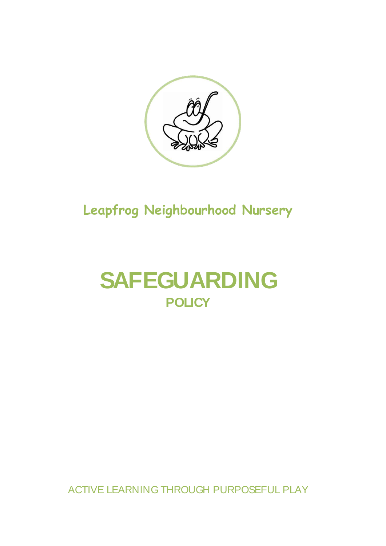

# **Leapfrog Neighbourhood Nursery**

# **SAFEGUARDING POLICY**

ACTIVE LEARNING THROUGH PURPOSEFUL PLAY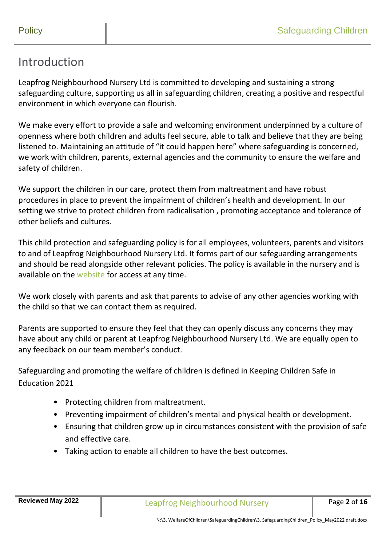#### Introduction

Leapfrog Neighbourhood Nursery Ltd is committed to developing and sustaining a strong safeguarding culture, supporting us all in safeguarding children, creating a positive and respectful environment in which everyone can flourish.

We make every effort to provide a safe and welcoming environment underpinned by a culture of openness where both children and adults feel secure, able to talk and believe that they are being listened to. Maintaining an attitude of "it could happen here" where safeguarding is concerned, we work with children, parents, external agencies and the community to ensure the welfare and safety of children.

We support the children in our care, protect them from maltreatment and have robust procedures in place to prevent the impairment of children's health and development. In our setting we strive to protect children from radicalisation , promoting acceptance and tolerance of other beliefs and cultures.

This child protection and safeguarding policy is for all employees, volunteers, parents and visitors to and of Leapfrog Neighbourhood Nursery Ltd. It forms part of our safeguarding arrangements and should be read alongside other relevant policies. The policy is available in the nursery and is available on the [website](http://www.leapfrognursery.com/) for access at any time.

We work closely with parents and ask that parents to advise of any other agencies working with the child so that we can contact them as required.

Parents are supported to ensure they feel that they can openly discuss any concerns they may have about any child or parent at Leapfrog Neighbourhood Nursery Ltd. We are equally open to any feedback on our team member's conduct.

Safeguarding and promoting the welfare of children is defined in Keeping Children Safe in Education 2021

- Protecting children from maltreatment.
- Preventing impairment of children's mental and physical health or development.
- Ensuring that children grow up in circumstances consistent with the provision of safe and effective care.
- Taking action to enable all children to have the best outcomes.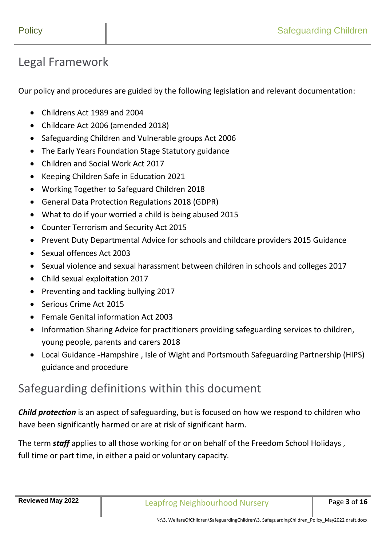### Legal Framework

Our policy and procedures are guided by the following legislation and relevant documentation:

- Childrens Act 1989 and 2004
- Childcare Act 2006 (amended 2018)
- Safeguarding Children and Vulnerable groups Act 2006
- The Early Years Foundation Stage Statutory guidance
- Children and Social Work Act 2017
- Keeping Children Safe in Education 2021
- Working Together to Safeguard Children 2018
- General Data Protection Regulations 2018 (GDPR)
- What to do if your worried a child is being abused 2015
- Counter Terrorism and Security Act 2015
- Prevent Duty Departmental Advice for schools and childcare providers 2015 Guidance
- Sexual offences Act 2003
- Sexual violence and sexual harassment between children in schools and colleges 2017
- Child sexual exploitation 2017
- Preventing and tackling bullying 2017
- Serious Crime Act 2015
- Female Genital information Act 2003
- Information Sharing Advice for practitioners providing safeguarding services to children, young people, parents and carers 2018
- Local Guidance **-**Hampshire , Isle of Wight and Portsmouth Safeguarding Partnership (HIPS) guidance and procedure

#### Safeguarding definitions within this document

*Child protection* is an aspect of safeguarding, but is focused on how we respond to children who have been significantly harmed or are at risk of significant harm.

The term *staff* applies to all those working for or on behalf of the Freedom School Holidays , full time or part time, in either a paid or voluntary capacity.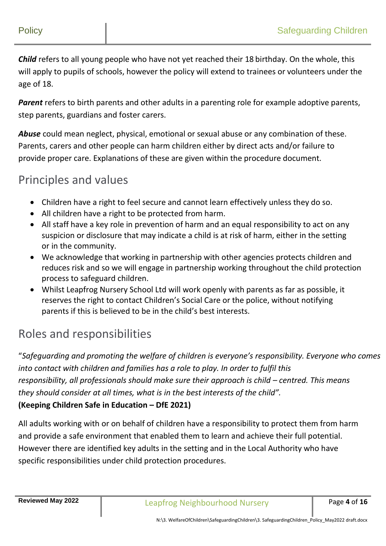*Child* refers to all young people who have not yet reached their 18 birthday. On the whole, this will apply to pupils of schools, however the policy will extend to trainees or volunteers under the age of 18.

*Parent* refers to birth parents and other adults in a parenting role for example adoptive parents, step parents, guardians and foster carers.

*Abuse* could mean neglect, physical, emotional or sexual abuse or any combination of these. Parents, carers and other people can harm children either by direct acts and/or failure to provide proper care. Explanations of these are given within the procedure document.

### Principles and values

- Children have a right to feel secure and cannot learn effectively unless they do so.
- All children have a right to be protected from harm.
- All staff have a key role in prevention of harm and an equal responsibility to act on any suspicion or disclosure that may indicate a child is at risk of harm, either in the setting or in the community.
- We acknowledge that working in partnership with other agencies protects children and reduces risk and so we will engage in partnership working throughout the child protection process to safeguard children.
- Whilst Leapfrog Nursery School Ltd will work openly with parents as far as possible, it reserves the right to contact Children's Social Care or the police, without notifying parents if this is believed to be in the child's best interests.

# Roles and responsibilities

"*Safeguarding and promoting the welfare of children is everyone's responsibility. Everyone who comes into contact with children and families has a role to play. In order to fulfil this responsibility, all professionals should make sure their approach is child – centred. This means they should consider at all times, what is in the best interests of the child".*

#### **(Keeping Children Safe in Education – DfE 2021)**

All adults working with or on behalf of children have a responsibility to protect them from harm and provide a safe environment that enabled them to learn and achieve their full potential. However there are identified key adults in the setting and in the Local Authority who have specific responsibilities under child protection procedures.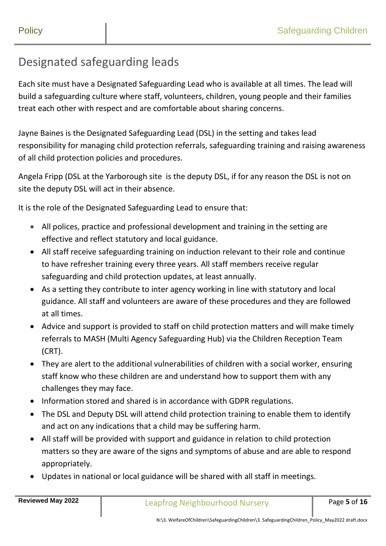## Designated safeguarding leads

Each site must have a Designated Safeguarding Lead who is available at all times. The lead will build a safeguarding culture where staff, volunteers, children, young people and their families treat each other with respect and are comfortable about sharing concerns.

Jayne Baines is the Designated Safeguarding Lead (DSL) in the setting and takes lead responsibility for managing child protection referrals, safeguarding training and raising awareness of all child protection policies and procedures.

Angela Fripp (DSL at the Yarborough site is the deputy DSL, if for any reason the DSL is not on site the deputy DSL will act in their absence.

It is the role of the Designated Safeguarding Lead to ensure that:

- All polices, practice and professional development and training in the setting are effective and reflect statutory and local guidance.
- All staff receive safeguarding training on induction relevant to their role and continue to have refresher training every three years. All staff members receive regular safeguarding and child protection updates, at least annually.
- As a setting they contribute to inter agency working in line with statutory and local guidance. All staff and volunteers are aware of these procedures and they are followed at all times.
- Advice and support is provided to staff on child protection matters and will make timely referrals to MASH (Multi Agency Safeguarding Hub) via the Children Reception Team (CRT).
- They are alert to the additional vulnerabilities of children with a social worker, ensuring staff know who these children are and understand how to support them with any challenges they may face.
- Information stored and shared is in accordance with GDPR regulations.
- The DSL and Deputy DSL will attend child protection training to enable them to identify and act on any indications that a child may be suffering harm.
- All staff will be provided with support and guidance in relation to child protection matters so they are aware of the signs and symptoms of abuse and are able to respond appropriately.
- Updates in national or local guidance will be shared with all staff in meetings.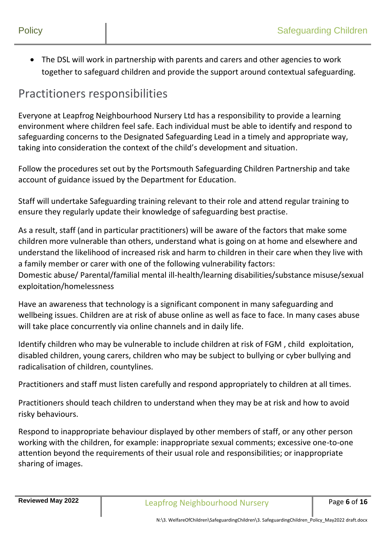The DSL will work in partnership with parents and carers and other agencies to work together to safeguard children and provide the support around contextual safeguarding.

#### Practitioners responsibilities

Everyone at Leapfrog Neighbourhood Nursery Ltd has a responsibility to provide a learning environment where children feel safe. Each individual must be able to identify and respond to safeguarding concerns to the Designated Safeguarding Lead in a timely and appropriate way, taking into consideration the context of the child's development and situation.

Follow the procedures set out by the Portsmouth Safeguarding Children Partnership and take account of guidance issued by the Department for Education.

Staff will undertake Safeguarding training relevant to their role and attend regular training to ensure they regularly update their knowledge of safeguarding best practise.

As a result, staff (and in particular practitioners) will be aware of the factors that make some children more vulnerable than others, understand what is going on at home and elsewhere and understand the likelihood of increased risk and harm to children in their care when they live with a family member or carer with one of the following vulnerability factors: Domestic abuse/ Parental/familial mental ill-health/learning disabilities/substance misuse/sexual exploitation/homelessness

Have an awareness that technology is a significant component in many safeguarding and wellbeing issues. Children are at risk of abuse online as well as face to face. In many cases abuse will take place concurrently via online channels and in daily life.

Identify children who may be vulnerable to include children at risk of FGM , child exploitation, disabled children, young carers, children who may be subject to bullying or cyber bullying and radicalisation of children, countylines.

Practitioners and staff must listen carefully and respond appropriately to children at all times.

Practitioners should teach children to understand when they may be at risk and how to avoid risky behaviours.

Respond to inappropriate behaviour displayed by other members of staff, or any other person working with the children, for example: inappropriate sexual comments; excessive one-to-one attention beyond the requirements of their usual role and responsibilities; or inappropriate sharing of images.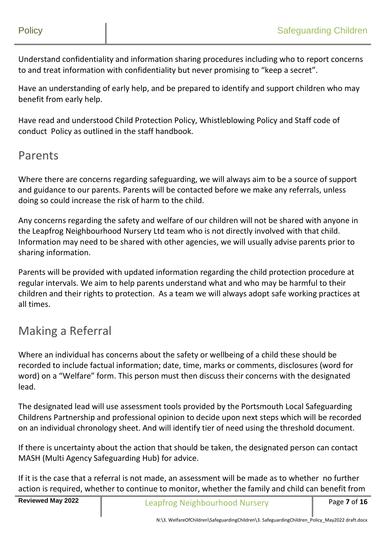Understand confidentiality and information sharing procedures including who to report concerns to and treat information with confidentiality but never promising to "keep a secret".

Have an understanding of early help, and be prepared to identify and support children who may benefit from early help.

Have read and understood Child Protection Policy, Whistleblowing Policy and Staff code of conduct Policy as outlined in the staff handbook.

#### Parents

Where there are concerns regarding safeguarding, we will always aim to be a source of support and guidance to our parents. Parents will be contacted before we make any referrals, unless doing so could increase the risk of harm to the child.

Any concerns regarding the safety and welfare of our children will not be shared with anyone in the Leapfrog Neighbourhood Nursery Ltd team who is not directly involved with that child. Information may need to be shared with other agencies, we will usually advise parents prior to sharing information.

Parents will be provided with updated information regarding the child protection procedure at regular intervals. We aim to help parents understand what and who may be harmful to their children and their rights to protection. As a team we will always adopt safe working practices at all times.

## Making a Referral

Where an individual has concerns about the safety or wellbeing of a child these should be recorded to include factual information; date, time, marks or comments, disclosures (word for word) on a "Welfare" form. This person must then discuss their concerns with the designated lead.

The designated lead will use assessment tools provided by the Portsmouth Local Safeguarding Childrens Partnership and professional opinion to decide upon next steps which will be recorded on an individual chronology sheet. And will identify tier of need using the threshold document.

If there is uncertainty about the action that should be taken, the designated person can contact MASH (Multi Agency Safeguarding Hub) for advice.

If it is the case that a referral is not made, an assessment will be made as to whether no further action is required, whether to continue to monitor, whether the family and child can benefit from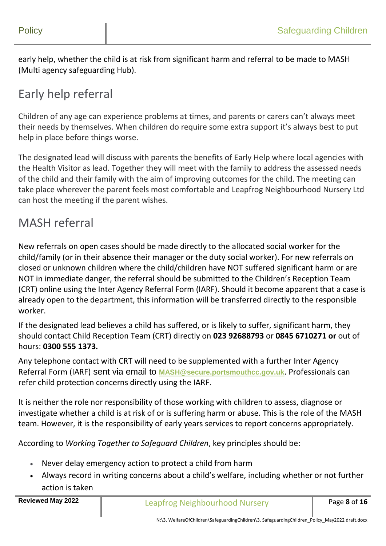early help, whether the child is at risk from significant harm and referral to be made to MASH (Multi agency safeguarding Hub).

# Early help referral

Children of any age can experience problems at times, and parents or carers can't always meet their needs by themselves. When children do require some extra support it's always best to put help in place before things worse.

The designated lead will discuss with parents the benefits of Early Help where local agencies with the Health Visitor as lead. Together they will meet with the family to address the assessed needs of the child and their family with the aim of improving outcomes for the child. The meeting can take place wherever the parent feels most comfortable and Leapfrog Neighbourhood Nursery Ltd can host the meeting if the parent wishes.

#### MASH referral

New referrals on open cases should be made directly to the allocated social worker for the child/family (or in their absence their manager or the duty social worker). For new referrals on closed or unknown children where the child/children have NOT suffered [significant harm](https://hipsprocedures.org.uk/page/glossary?term=Significant+harm&g=3YjN#gl1) or are NOT in immediate danger, the referral should be submitted to the Children's Reception Team (CRT) online using the [Inter Agency Referral Form \(IARF\).](https://hipsprocedures.org.uk/tkyyzl/appendices/threshold-documents-and-inter-agency-referral-forms) Should it become apparent that a case is already open to the department, this information will be transferred directly to the responsible worker.

If the designated lead believes a child has suffered, or is likely to suffer, [significant harm,](https://hipsprocedures.org.uk/page/glossary?term=Significant+harm&g=3YjN#gl1) they should contact Child Reception Team (CRT) directly on **023 92688793** or **0845 6710271 or** out of hours: **0300 555 1373.**

Any telephone contact with CRT will need to be supplemented with a further [Inter Agency](https://hipsprocedures.org.uk/tkyyzl/appendices/threshold-documents-and-inter-agency-referral-forms)  [Referral Form \(IARF\)](https://hipsprocedures.org.uk/tkyyzl/appendices/threshold-documents-and-inter-agency-referral-forms) sent via email to **MASH@secure.portsmouthcc.gov.uk**. Professionals can refer child protection concerns directly using the IARF.

It is neither the role nor responsibility of those working with children to assess, diagnose or investigate whether a child is at risk of or is suffering harm or abuse. This is the role of the MASH team. However, it is the responsibility of early years services to report concerns appropriately.

According to *Working Together to Safeguard Children*, key principles should be:

- Never delay emergency action to protect a child from harm
- Always record in writing concerns about a child's welfare, including whether or not further action is taken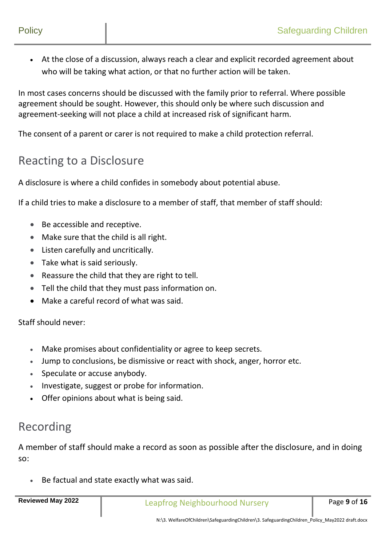At the close of a discussion, always reach a clear and explicit recorded agreement about who will be taking what action, or that no further action will be taken.

In most cases concerns should be discussed with the family prior to referral. Where possible agreement should be sought. However, this should only be where such discussion and agreement-seeking will not place a child at increased risk of significant harm.

The consent of a parent or carer is not required to make a child protection referral.

#### Reacting to a Disclosure

A disclosure is where a child confides in somebody about potential abuse.

If a child tries to make a disclosure to a member of staff, that member of staff should:

- Be accessible and receptive.
- Make sure that the child is all right.
- Listen carefully and uncritically.
- Take what is said seriously.
- Reassure the child that they are right to tell.
- Tell the child that they must pass information on.
- Make a careful record of what was said.

Staff should never:

- Make promises about confidentiality or agree to keep secrets.
- Jump to conclusions, be dismissive or react with shock, anger, horror etc.
- Speculate or accuse anybody.
- Investigate, suggest or probe for information.
- Offer opinions about what is being said.

#### Recording

A member of staff should make a record as soon as possible after the disclosure, and in doing so:

Be factual and state exactly what was said.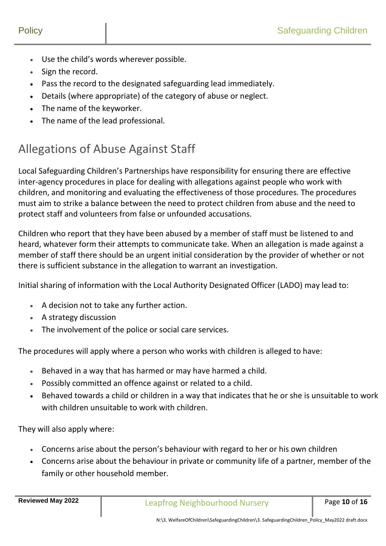- Use the child's words wherever possible.
- Sign the record.
- Pass the record to the designated safeguarding lead immediately.
- Details (where appropriate) of the category of abuse or neglect.
- The name of the keyworker.
- The name of the lead professional.

# Allegations of Abuse Against Staff

Local Safeguarding Children's Partnerships have responsibility for ensuring there are effective inter-agency procedures in place for dealing with allegations against people who work with children, and monitoring and evaluating the effectiveness of those procedures. The procedures must aim to strike a balance between the need to protect children from abuse and the need to protect staff and volunteers from false or unfounded accusations.

Children who report that they have been abused by a member of staff must be listened to and heard, whatever form their attempts to communicate take. When an allegation is made against a member of staff there should be an urgent initial consideration by the provider of whether or not there is sufficient substance in the allegation to warrant an investigation.

Initial sharing of information with the Local Authority Designated Officer (LADO) may lead to:

- A decision not to take any further action.
- A strategy discussion
- The involvement of the police or social care services.

The procedures will apply where a person who works with children is alleged to have:

- Behaved in a way that has harmed or may have harmed a child.
- Possibly committed an offence against or related to a child.
- Behaved towards a child or children in a way that indicates that he or she is unsuitable to work with children unsuitable to work with children.

They will also apply where:

- Concerns arise about the person's behaviour with regard to her or his own children
- Concerns arise about the behaviour in private or community life of a partner, member of the family or other household member.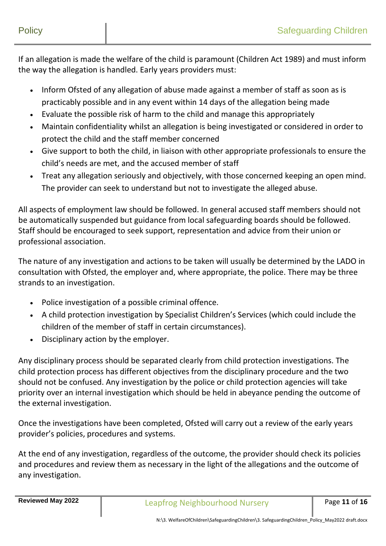If an allegation is made the welfare of the child is paramount (Children Act 1989) and must inform the way the allegation is handled. Early years providers must:

- Inform Ofsted of any allegation of abuse made against a member of staff as soon as is practicably possible and in any event within 14 days of the allegation being made
- Evaluate the possible risk of harm to the child and manage this appropriately
- Maintain confidentiality whilst an allegation is being investigated or considered in order to protect the child and the staff member concerned
- Give support to both the child, in liaison with other appropriate professionals to ensure the child's needs are met, and the accused member of staff
- Treat any allegation seriously and objectively, with those concerned keeping an open mind. The provider can seek to understand but not to investigate the alleged abuse.

All aspects of employment law should be followed. In general accused staff members should not be automatically suspended but guidance from local safeguarding boards should be followed. Staff should be encouraged to seek support, representation and advice from their union or professional association.

The nature of any investigation and actions to be taken will usually be determined by the LADO in consultation with Ofsted, the employer and, where appropriate, the police. There may be three strands to an investigation.

- Police investigation of a possible criminal offence.
- A child protection investigation by Specialist Children's Services (which could include the children of the member of staff in certain circumstances).
- Disciplinary action by the employer.

Any disciplinary process should be separated clearly from child protection investigations. The child protection process has different objectives from the disciplinary procedure and the two should not be confused. Any investigation by the police or child protection agencies will take priority over an internal investigation which should be held in abeyance pending the outcome of the external investigation.

Once the investigations have been completed, Ofsted will carry out a review of the early years provider's policies, procedures and systems.

At the end of any investigation, regardless of the outcome, the provider should check its policies and procedures and review them as necessary in the light of the allegations and the outcome of any investigation.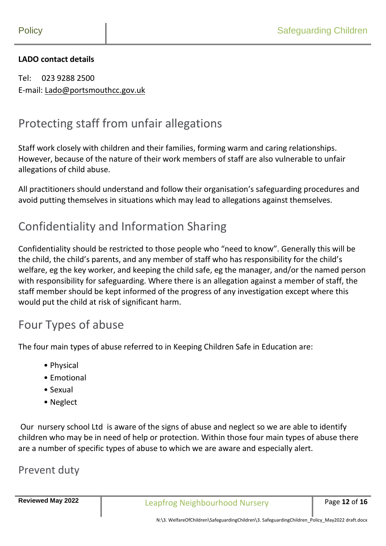#### **LADO contact details**

Tel: 023 9288 2500 E-mail: [Lado@portsmouthcc.gov.uk](mailto:Lado@portsmouthcc.gov.uk)

### Protecting staff from unfair allegations

Staff work closely with children and their families, forming warm and caring relationships. However, because of the nature of their work members of staff are also vulnerable to unfair allegations of child abuse.

All practitioners should understand and follow their organisation's safeguarding procedures and avoid putting themselves in situations which may lead to allegations against themselves.

#### Confidentiality and Information Sharing

Confidentiality should be restricted to those people who "need to know". Generally this will be the child, the child's parents, and any member of staff who has responsibility for the child's welfare, eg the key worker, and keeping the child safe, eg the manager, and/or the named person with responsibility for safeguarding. Where there is an allegation against a member of staff, the staff member should be kept informed of the progress of any investigation except where this would put the child at risk of significant harm.

#### Four Types of abuse

The four main types of abuse referred to in Keeping Children Safe in Education are:

- Physical
- Emotional
- Sexual
- Neglect

Our nursery school Ltd is aware of the signs of abuse and neglect so we are able to identify children who may be in need of help or protection. Within those four main types of abuse there are a number of specific types of abuse to which we are aware and especially alert.

#### Prevent duty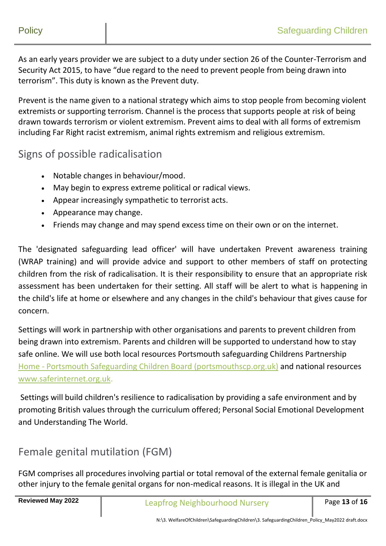As an early years provider we are subject to a duty under section 26 of the Counter-Terrorism and Security Act 2015, to have "due regard to the need to prevent people from being drawn into terrorism". This duty is known as the Prevent duty.

Prevent is the name given to a national strategy which aims to stop people from becoming violent extremists or supporting terrorism. Channel is the process that supports people at risk of being drawn towards terrorism or violent extremism. Prevent aims to deal with all forms of extremism including Far Right racist extremism, animal rights extremism and religious extremism.

#### Signs of possible radicalisation

- Notable changes in behaviour/mood.
- May begin to express extreme political or radical views.
- Appear increasingly sympathetic to terrorist acts.
- Appearance may change.
- Friends may change and may spend excess time on their own or on the internet.

The 'designated safeguarding lead officer' will have undertaken Prevent awareness training (WRAP training) and will provide advice and support to other members of staff on protecting children from the risk of radicalisation. It is their responsibility to ensure that an appropriate risk assessment has been undertaken for their setting. All staff will be alert to what is happening in the child's life at home or elsewhere and any changes in the child's behaviour that gives cause for concern.

Settings will work in partnership with other organisations and parents to prevent children from being drawn into extremism. Parents and children will be supported to understand how to stay safe online. We will use both local resources Portsmouth safeguarding Childrens Partnership Home - [Portsmouth Safeguarding Children Board \(portsmouthscp.org.uk\)](https://www.portsmouthscp.org.uk/) and national resources [www.saferinternet.org.uk.](http://www.saferinternet.org.uk/)

Settings will build children's resilience to radicalisation by providing a safe environment and by promoting British values through the curriculum offered; Personal Social Emotional Development and Understanding The World.

#### Female genital mutilation (FGM)

FGM comprises all procedures involving partial or total removal of the external female genitalia or other injury to the female genital organs for non-medical reasons. It is illegal in the UK and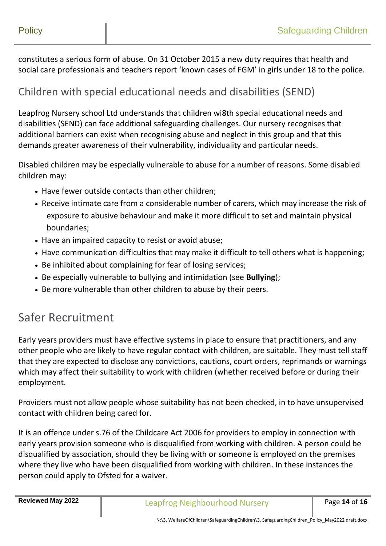constitutes a serious form of abuse. On 31 October 2015 a new duty requires that health and social care professionals and teachers report 'known cases of FGM' in girls under 18 to the police.

#### Children with special educational needs and disabilities (SEND)

Leapfrog Nursery school Ltd understands that children wi8th special educational needs and disabilities (SEND) can face additional safeguarding challenges. Our nursery recognises that additional barriers can exist when recognising abuse and neglect in this group and that this demands greater awareness of their vulnerability, individuality and particular needs.

Disabled children may be especially vulnerable to abuse for a number of reasons. Some disabled children may:

- Have fewer outside contacts than other children;
- Receive intimate care from a considerable number of carers, which may increase the risk of exposure to abusive behaviour and make it more difficult to set and maintain physical boundaries;
- Have an impaired capacity to resist or avoid abuse;
- Have communication difficulties that may make it difficult to tell others what is happening;
- Be inhibited about complaining for fear of losing services;
- Be especially vulnerable to bullying and intimidation (see **[Bullying](http://4lscb.proceduresonline.com/portsmouth/p_bullying.html)**);
- Be more vulnerable than other children to abuse by their peers.

#### Safer Recruitment

Early years providers must have effective systems in place to ensure that practitioners, and any other people who are likely to have regular contact with children, are suitable. They must tell staff that they are expected to disclose any convictions, cautions, court orders, reprimands or warnings which may affect their suitability to work with children (whether received before or during their employment.

Providers must not allow people whose suitability has not been checked, in to have unsupervised contact with children being cared for.

It is an offence under s.76 of the Childcare Act 2006 for providers to employ in connection with early years provision someone who is disqualified from working with children. A person could be disqualified by association, should they be living with or someone is employed on the premises where they live who have been disqualified from working with children. In these instances the person could apply to Ofsted for a waiver.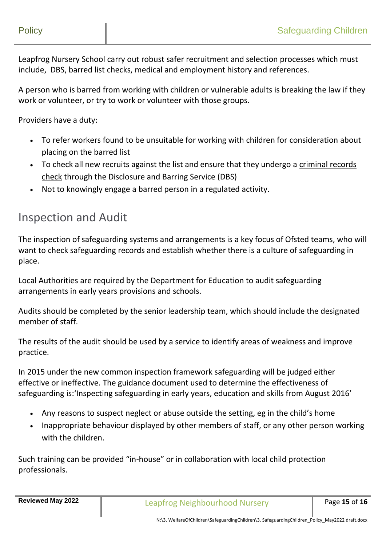Leapfrog Nursery School carry out robust safer recruitment and selection processes which must include, DBS, barred list checks, medical and employment history and references.

A person who is barred from working with children or vulnerable adults is breaking the law if they work or volunteer, or try to work or volunteer with those groups.

Providers have a duty:

- To refer workers found to be unsuitable for working with children for consideration about placing on the barred list
- To check all new recruits against the list and ensure that they undergo a [criminal records](https://dot2dot.croner.co.uk/topics/criminal-records-checks/quickfacts?section=4079&topic=4105#WKID-201401061225480394-69656007)  [check](https://dot2dot.croner.co.uk/topics/criminal-records-checks/quickfacts?section=4079&topic=4105#WKID-201401061225480394-69656007) through the Disclosure and Barring Service (DBS)
- Not to knowingly engage a barred person in a regulated activity.

#### Inspection and Audit

The inspection of safeguarding systems and arrangements is a key focus of Ofsted teams, who will want to check safeguarding records and establish whether there is a culture of safeguarding in place.

Local Authorities are required by the Department for Education to audit safeguarding arrangements in early years provisions and schools.

Audits should be completed by the senior leadership team, which should include the designated member of staff.

The results of the audit should be used by a service to identify areas of weakness and improve practice.

In 2015 under the new common inspection framework safeguarding will be judged either effective or ineffective. The guidance document used to determine the effectiveness of safeguarding is:'Inspecting safeguarding in early years, education and skills from August 2016'

- Any reasons to suspect neglect or abuse outside the setting, eg in the child's home
- Inappropriate behaviour displayed by other members of staff, or any other person working with the children.

Such training can be provided "in-house" or in collaboration with local child protection professionals.